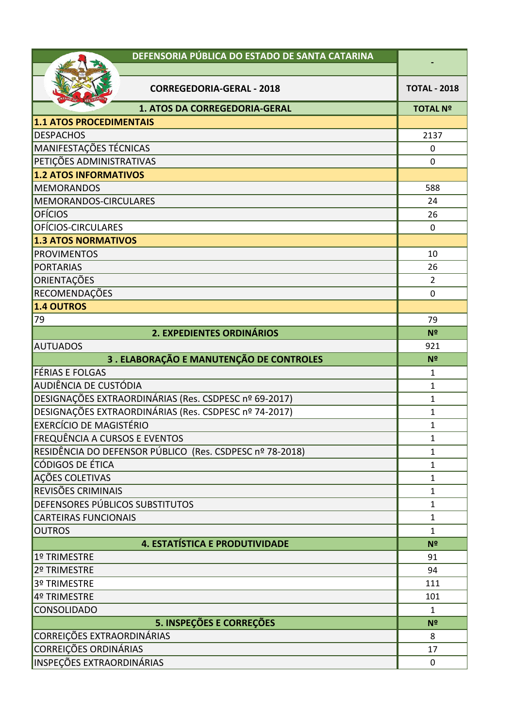| DEFENSORIA PÚBLICA DO ESTADO DE SANTA CATARINA           |                              |
|----------------------------------------------------------|------------------------------|
|                                                          |                              |
| <b>CORREGEDORIA-GERAL - 2018</b>                         | <b>TOTAL - 2018</b>          |
| 1. ATOS DA CORREGEDORIA-GERAL                            | <b>TOTAL Nº</b>              |
| <b>1.1 ATOS PROCEDIMENTAIS</b>                           |                              |
| <b>DESPACHOS</b>                                         | 2137                         |
| MANIFESTAÇÕES TÉCNICAS                                   | $\mathbf 0$                  |
| PETIÇÕES ADMINISTRATIVAS                                 | $\mathbf 0$                  |
| <b>1.2 ATOS INFORMATIVOS</b>                             |                              |
| <b>MEMORANDOS</b>                                        | 588                          |
| MEMORANDOS-CIRCULARES                                    | 24                           |
| <b>OFÍCIOS</b>                                           | 26                           |
| OFÍCIOS-CIRCULARES                                       | $\mathbf 0$                  |
| <b>1.3 ATOS NORMATIVOS</b>                               |                              |
| <b>PROVIMENTOS</b>                                       | 10                           |
| <b>PORTARIAS</b>                                         | 26                           |
| ORIENTAÇÕES                                              | $\overline{2}$               |
| RECOMENDAÇÕES                                            | $\mathbf 0$                  |
| 1.4 OUTROS                                               |                              |
| 79                                                       | 79                           |
| 2. EXPEDIENTES ORDINÁRIOS                                | Nº                           |
| <b>AUTUADOS</b>                                          | 921                          |
| 3. ELABORAÇÃO E MANUTENÇÃO DE CONTROLES                  | Nº                           |
| FÉRIAS E FOLGAS                                          | $\mathbf{1}$                 |
| AUDIÊNCIA DE CUSTÓDIA                                    | $\mathbf{1}$                 |
| DESIGNAÇÕES EXTRAORDINÁRIAS (Res. CSDPESC nº 69-2017)    | $\mathbf{1}$                 |
| DESIGNAÇÕES EXTRAORDINÁRIAS (Res. CSDPESC nº 74-2017)    | $\mathbf{1}$                 |
| <b>EXERCÍCIO DE MAGISTÉRIO</b>                           | $\mathbf{1}$                 |
| <b>FREQUÊNCIA A CURSOS E EVENTOS</b>                     | 1                            |
| RESIDÊNCIA DO DEFENSOR PÚBLICO (Res. CSDPESC nº 78-2018) | 1                            |
| CÓDIGOS DE ÉTICA                                         | 1                            |
| AÇÕES COLETIVAS<br>REVISÕES CRIMINAIS                    | $\mathbf{1}$<br>$\mathbf{1}$ |
| DEFENSORES PÚBLICOS SUBSTITUTOS                          | $\mathbf{1}$                 |
| <b>CARTEIRAS FUNCIONAIS</b>                              | $\mathbf{1}$                 |
| <b>OUTROS</b>                                            | $\mathbf{1}$                 |
| 4. ESTATÍSTICA E PRODUTIVIDADE                           | N <sup>2</sup>               |
| 1º TRIMESTRE                                             | 91                           |
| 2º TRIMESTRE                                             | 94                           |
| 3º TRIMESTRE                                             | 111                          |
| 4º TRIMESTRE                                             | 101                          |
| <b>CONSOLIDADO</b>                                       | $\mathbf{1}$                 |
| 5. INSPEÇÕES E CORREÇÕES                                 | N <sup>2</sup>               |
| CORREIÇÕES EXTRAORDINÁRIAS                               | 8                            |
| <b>CORREIÇÕES ORDINÁRIAS</b>                             | 17                           |
| <b>INSPEÇÕES EXTRAORDINÁRIAS</b>                         | $\mathbf 0$                  |